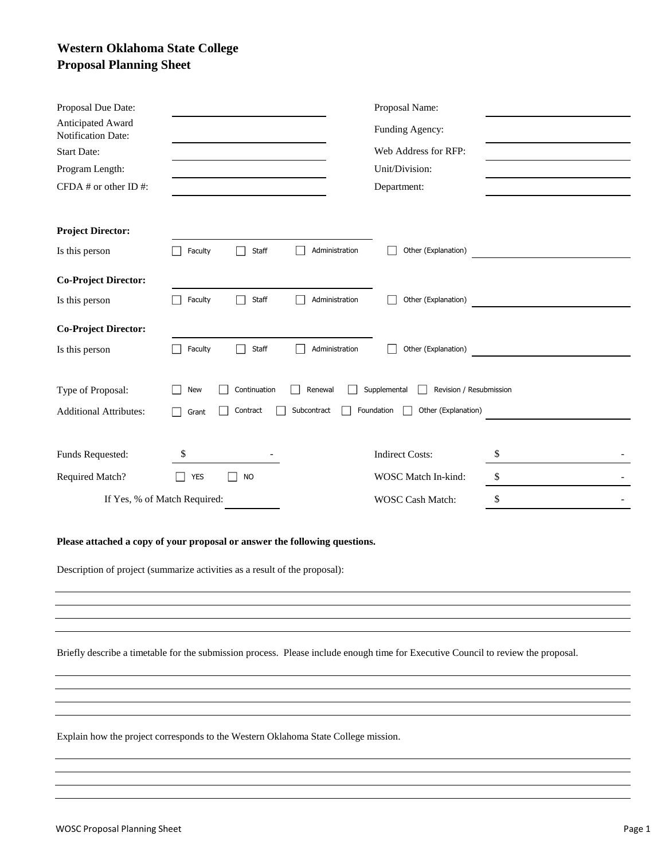# **Western Oklahoma State College Proposal Planning Sheet**

| Proposal Due Date:                                                                                                                                       |            |              |                | Proposal Name:                          |    |
|----------------------------------------------------------------------------------------------------------------------------------------------------------|------------|--------------|----------------|-----------------------------------------|----|
| Anticipated Award<br><b>Notification Date:</b>                                                                                                           |            |              |                | Funding Agency:                         |    |
| <b>Start Date:</b>                                                                                                                                       |            |              |                | Web Address for RFP:                    |    |
| Program Length:                                                                                                                                          |            |              |                | Unit/Division:                          |    |
| CFDA $#$ or other ID $#$ :                                                                                                                               |            |              |                | Department:                             |    |
| <b>Project Director:</b>                                                                                                                                 |            |              |                |                                         |    |
| Is this person                                                                                                                                           | Faculty    | Staff        | Administration | Other (Explanation)                     |    |
| <b>Co-Project Director:</b>                                                                                                                              |            |              |                |                                         |    |
| Is this person                                                                                                                                           | Faculty    | Staff        | Administration | Other (Explanation)                     |    |
| <b>Co-Project Director:</b>                                                                                                                              |            |              |                |                                         |    |
| Is this person                                                                                                                                           | Faculty    | Staff        | Administration | Other (Explanation)                     |    |
| Type of Proposal:                                                                                                                                        | New        | Continuation | Renewal        | Supplemental<br>Revision / Resubmission |    |
| <b>Additional Attributes:</b>                                                                                                                            | Grant      | Contract     | Subcontract    | Foundation<br>Other (Explanation)       |    |
|                                                                                                                                                          |            |              |                |                                         |    |
| Funds Requested:                                                                                                                                         | \$         |              |                | <b>Indirect Costs:</b>                  | \$ |
| <b>Required Match?</b>                                                                                                                                   | <b>YES</b> | <b>NO</b>    |                | WOSC Match In-kind:                     | \$ |
| If Yes, % of Match Required:                                                                                                                             |            |              |                | WOSC Cash Match:                        | \$ |
| Please attached a copy of your proposal or answer the following questions.<br>Description of project (summarize activities as a result of the proposal): |            |              |                |                                         |    |
|                                                                                                                                                          |            |              |                |                                         |    |

Briefly describe a timetable for the submission process. Please include enough time for Executive Council to review the proposal.

Explain how the project corresponds to the Western Oklahoma State College mission.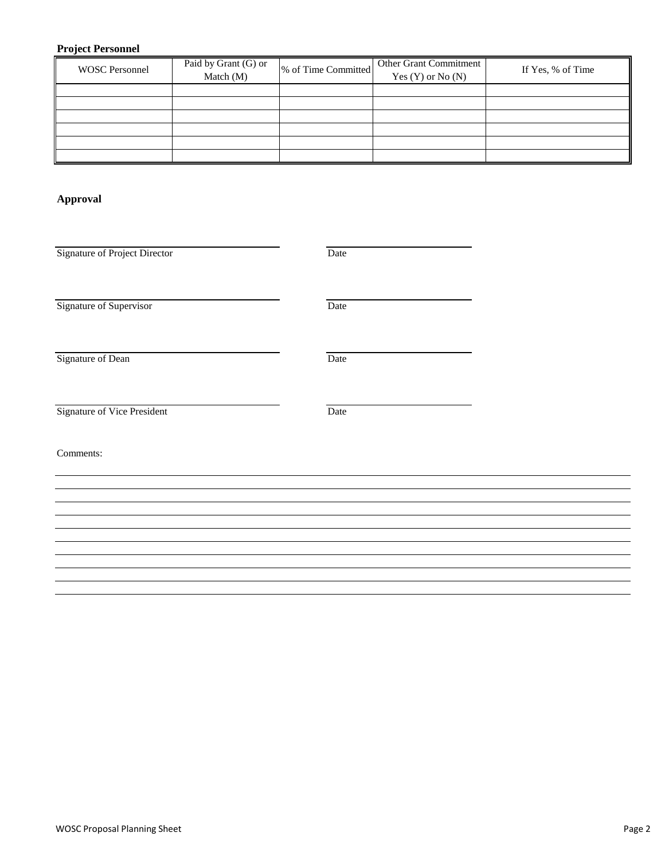# **Project Personnel**

| Paid by Grant (G) or<br>Match (M) | <b>Other Grant Commitment</b><br>Yes $(Y)$ or No $(N)$ | If Yes, % of Time   |
|-----------------------------------|--------------------------------------------------------|---------------------|
|                                   |                                                        |                     |
|                                   |                                                        |                     |
|                                   |                                                        |                     |
|                                   |                                                        |                     |
|                                   |                                                        | % of Time Committed |

### **Approval**

| Signature of Project Director | Date |  |
|-------------------------------|------|--|
| Signature of Supervisor       | Date |  |
| Signature of Dean             | Date |  |
| Signature of Vice President   | Date |  |
| Comments:                     |      |  |
|                               |      |  |
|                               |      |  |
|                               |      |  |
|                               |      |  |